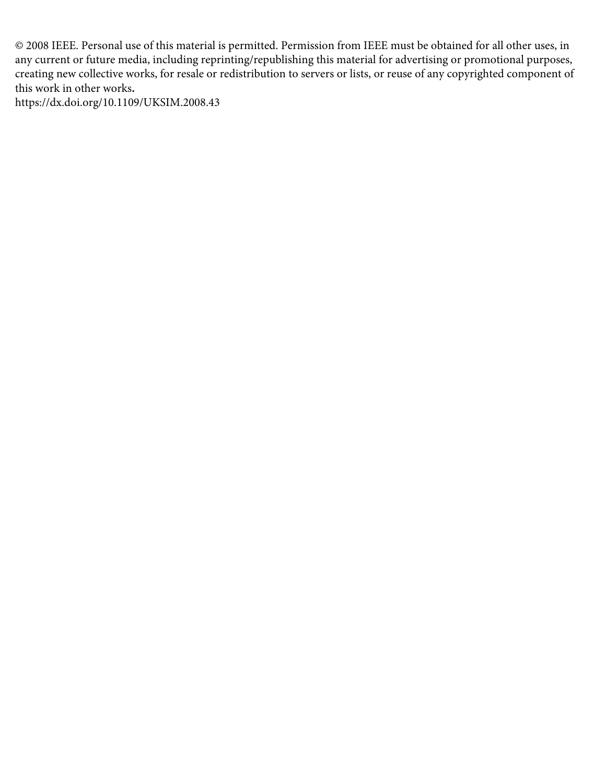© 2008 IEEE. Personal use of this material is permitted. Permission from IEEE must be obtained for all other uses, in any current or future media, including reprinting/republishing this material for advertising or promotional purposes, creating new collective works, for resale or redistribution to servers or lists, or reuse of any copyrighted component of this work in other works**.** 

https://dx.doi.org/10.1109/UKSIM.2008.43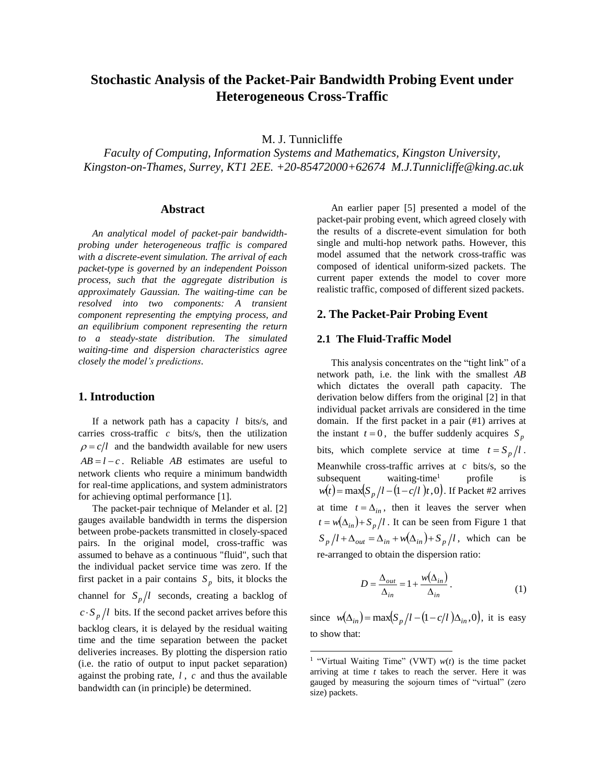# **Stochastic Analysis of the Packet-Pair Bandwidth Probing Event under Heterogeneous Cross-Traffic**

M. J. Tunnicliffe

*Faculty of Computing, Information Systems and Mathematics, Kingston University, Kingston-on-Thames, Surrey, KT1 2EE. +20-85472000+62674 M.J.Tunnicliffe@king.ac.uk*

#### **Abstract**

*An analytical model of packet-pair bandwidthprobing under heterogeneous traffic is compared with a discrete-event simulation. The arrival of each packet-type is governed by an independent Poisson process, such that the aggregate distribution is approximately Gaussian. The waiting-time can be resolved into two components: A transient component representing the emptying process, and an equilibrium component representing the return to a steady-state distribution. The simulated waiting-time and dispersion characteristics agree closely the model's predictions.*

## **1. Introduction**

If a network path has a capacity *l* bits/s, and carries cross-traffic *c* bits/s, then the utilization  $\rho = c/l$  and the bandwidth available for new users  $AB = l - c$ . Reliable *AB* estimates are useful to network clients who require a minimum bandwidth for real-time applications, and system administrators for achieving optimal performance [1].

The packet-pair technique of Melander et al. [2] gauges available bandwidth in terms the dispersion between probe-packets transmitted in closely-spaced pairs. In the original model, cross-traffic was assumed to behave as a continuous "fluid", such that the individual packet service time was zero. If the first packet in a pair contains  $S_p$  bits, it blocks the channel for  $S_p/l$  seconds, creating a backlog of  $c \cdot S_p/l$  bits. If the second packet arrives before this backlog clears, it is delayed by the residual waiting time and the time separation between the packet deliveries increases. By plotting the dispersion ratio (i.e. the ratio of output to input packet separation) against the probing rate, *l* , *c* and thus the available bandwidth can (in principle) be determined.

An earlier paper [5] presented a model of the packet-pair probing event, which agreed closely with the results of a discrete-event simulation for both single and multi-hop network paths. However, this model assumed that the network cross-traffic was composed of identical uniform-sized packets. The current paper extends the model to cover more realistic traffic, composed of different sized packets.

### **2. The Packet-Pair Probing Event**

#### **2.1 The Fluid-Traffic Model**

This analysis concentrates on the "tight link" of a network path, i.e. the link with the smallest *AB* which dictates the overall path capacity. The derivation below differs from the original [2] in that individual packet arrivals are considered in the time domain. If the first packet in a pair (#1) arrives at the instant  $t = 0$ , the buffer suddenly acquires  $S_p$ bits, which complete service at time  $t = S_p/l$ . Meanwhile cross-traffic arrives at *c* bits/s, so the  $subsequent$  waiting-time<sup>1</sup> profile subsequent waiting-time<sup>1</sup> profile is<br> $w(t) = \max(S_p/l - (1 - c/l)t, 0)$ . If Packet #2 arrives at time  $t = \Delta_{in}$ , then it leaves the server when  $t = w(\Delta_{in}) + S_p/l$ . It can be seen from Figure 1 that  $p = w(\Delta_{in}) + S_p/l$ . It can be seen from Figure 1 that<br>  $S_p/l + \Delta_{out} = \Delta_{in} + w(\Delta_{in}) + S_p/l$ , which can be re-arranged to obtain the dispersion ratio:

$$
D = \frac{\Delta_{out}}{\Delta_{in}} = 1 + \frac{w(\Delta_{in})}{\Delta_{in}}.
$$
 (1)

since  $w(\Delta_{in}) = \max(S_p/l - (1 - c/l)\Delta_{in}, 0)$ , it is easy to show that:

<sup>&</sup>lt;sup>1</sup> "Virtual Waiting Time" (VWT)  $w(t)$  is the time packet arriving at time *t* takes to reach the server. Here it was gauged by measuring the sojourn times of "virtual" (zero size) packets.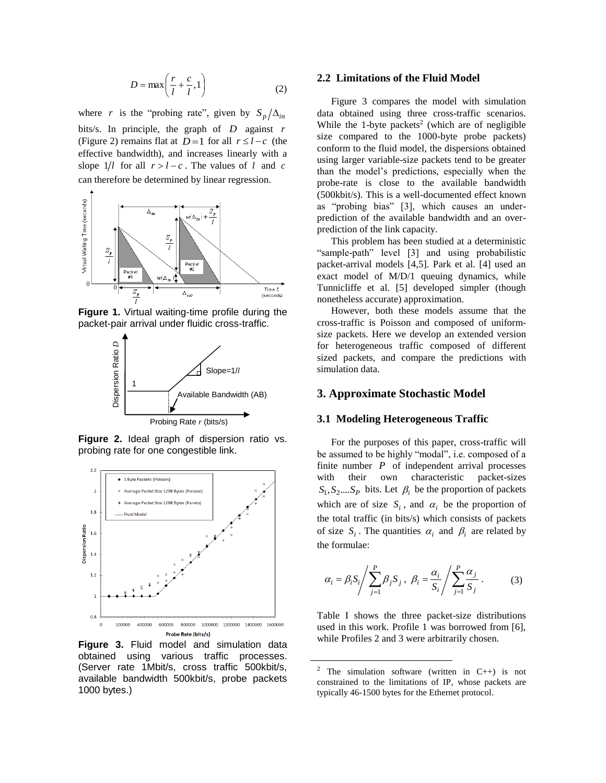$$
D = \max\left(\frac{r}{l} + \frac{c}{l}, 1\right) \tag{2}
$$

where *r* is the "probing rate", given by  $S_p / \Delta_{in}$ bits/s. In principle, the graph of *D* against *r* (Figure 2) remains flat at  $D=1$  for all  $r \le l-c$  (the effective bandwidth), and increases linearly with a slope  $1/l$  for all  $r > l - c$ . The values of l and c can therefore be determined by linear regression.



**Figure 1.** Virtual waiting-time profile during the packet-pair arrival under fluidic cross-traffic.



**Figure 2.** Ideal graph of dispersion ratio vs. probing rate for one congestible link.



**Figure 3.** Fluid model and simulation data obtained using various traffic processes. (Server rate 1Mbit/s, cross traffic 500kbit/s, available bandwidth 500kbit/s, probe packets 1000 bytes.)

#### **2.2 Limitations of the Fluid Model**

Figure 3 compares the model with simulation data obtained using three cross-traffic scenarios. While the 1-byte packets<sup>2</sup> (which are of negligible size compared to the 1000-byte probe packets) conform to the fluid model, the dispersions obtained using larger variable-size packets tend to be greater than the model's predictions, especially when the probe-rate is close to the available bandwidth (500kbit/s). This is a well-documented effect known as "probing bias" [3], which causes an underprediction of the available bandwidth and an overprediction of the link capacity.

This problem has been studied at a deterministic "sample-path" level [3] and using probabilistic packet-arrival models [4,5]. Park et al. [4] used an exact model of M/D/1 queuing dynamics, while Tunnicliffe et al. [5] developed simpler (though nonetheless accurate) approximation.

However, both these models assume that the cross-traffic is Poisson and composed of uniformsize packets. Here we develop an extended version for heterogeneous traffic composed of different sized packets, and compare the predictions with simulation data.

# **3. Approximate Stochastic Model**

#### **3.1 Modeling Heterogeneous Traffic**

For the purposes of this paper, cross-traffic will be assumed to be highly "modal", i.e. composed of a finite number  $P$  of independent arrival processes with their own characteristic packet-sizes  $S_1, S_2,...S_p$  bits. Let  $\beta_i$  be the proportion of packets which are of size  $S_i$ , and  $\alpha_i$  be the proportion of the total traffic (in bits/s) which consists of packets of size  $S_i$ . The quantities  $\alpha_i$  and  $\beta_i$  are related by the formulae:

$$
\alpha_i = \beta_i S_i / \sum_{j=1}^P \beta_j S_j, \ \beta_i = \frac{\alpha_i}{S_i} / \sum_{j=1}^P \frac{\alpha_j}{S_j} \,. \tag{3}
$$

Table I shows the three packet-size distributions used in this work. Profile 1 was borrowed from [6], while Profiles 2 and 3 were arbitrarily chosen.

<sup>&</sup>lt;sup>2</sup> The simulation software (written in C++) is not constrained to the limitations of IP, whose packets are typically 46-1500 bytes for the Ethernet protocol.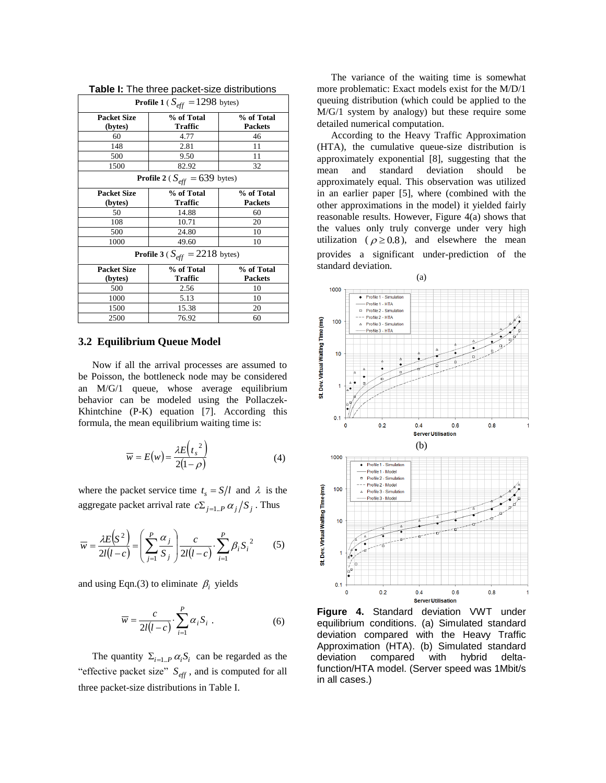| <b>Profile 1</b> ( $S_{eff} = 1298$ bytes)        |                              |                              |  |
|---------------------------------------------------|------------------------------|------------------------------|--|
| <b>Packet Size</b><br>(bytes)                     | % of Total<br><b>Traffic</b> | % of Total<br><b>Packets</b> |  |
| 60                                                | 4.77                         | 46                           |  |
| 148                                               | 2.81                         | 11                           |  |
| 500                                               | 9.50                         | 11                           |  |
| 1500                                              | 82.92                        | 32                           |  |
| <b>Profile 2</b> ( $S_{\text{eff}}$ = 639 bytes)  |                              |                              |  |
| <b>Packet Size</b>                                | % of Total                   | % of Total                   |  |
| (bytes)                                           | <b>Traffic</b>               | <b>Packets</b>               |  |
| 50                                                | 14.88                        | 60                           |  |
| 108                                               | 10.71                        | 20                           |  |
| 500                                               | 24.80                        | 10                           |  |
| 1000                                              | 49.60                        | 10                           |  |
| <b>Profile 3</b> ( $S_{\text{eff}} = 2218$ bytes) |                              |                              |  |
| <b>Packet Size</b>                                | % of Total                   | % of Total                   |  |
| (bytes)                                           | <b>Traffic</b>               | <b>Packets</b>               |  |
| 500                                               | 2.56                         | 10                           |  |
| 1000                                              | 5.13                         | 10                           |  |
| 1500                                              | 15.38                        | 20                           |  |
| 2500                                              | 76.92                        | 60                           |  |

| Table I: The three packet-size distributions |  |  |
|----------------------------------------------|--|--|
|----------------------------------------------|--|--|

#### **3.2 Equilibrium Queue Model**

Now if all the arrival processes are assumed to be Poisson, the bottleneck node may be considered an M/G/1 queue, whose average equilibrium behavior can be modeled using the Pollaczek-Khintchine (P-K) equation [7]. According this formula, the mean equilibrium waiting time is:

$$
\overline{w} = E(w) = \frac{\lambda E(t_s^2)}{2(1-\rho)}
$$
(4)

where the packet service time  $t_s = S/l$  and  $\lambda$  is the aggregate packet arrival rate  $c \sum_{j=1..P} \alpha_j / S_j$ . Thus

$$
\overline{w} = \frac{\lambda E(S^2)}{2l(l-c)} = \left(\sum_{j=1}^{P} \frac{\alpha_j}{S_j}\right) \frac{c}{2l(l-c)} \cdot \sum_{i=1}^{P} \beta_i S_i^2 \tag{5}
$$

and using Eqn.(3) to eliminate  $\beta_i$  yields

$$
\overline{w} = \frac{c}{2l(l-c)} \cdot \sum_{i=1}^{P} \alpha_i S_i . \tag{6}
$$

The quantity  $\Sigma_{i=1..P} \alpha_i S_i$  can be regarded as the "effective packet size" *Seff* , and is computed for all three packet-size distributions in Table I.

The variance of the waiting time is somewhat more problematic: Exact models exist for the M/D/1 queuing distribution (which could be applied to the M/G/1 system by analogy) but these require some detailed numerical computation.

According to the Heavy Traffic Approximation (HTA), the cumulative queue-size distribution is approximately exponential [8], suggesting that the mean and standard deviation should be approximately equal. This observation was utilized in an earlier paper [5], where (combined with the other approximations in the model) it yielded fairly reasonable results. However, Figure 4(a) shows that the values only truly converge under very high utilization ( $\rho \ge 0.8$ ), and elsewhere the mean provides a significant under-prediction of the standard deviation.



**Figure 4.** Standard deviation VWT under equilibrium conditions. (a) Simulated standard deviation compared with the Heavy Traffic Approximation (HTA). (b) Simulated standard deviation compared with hybrid deltafunction/HTA model. (Server speed was 1Mbit/s in all cases.)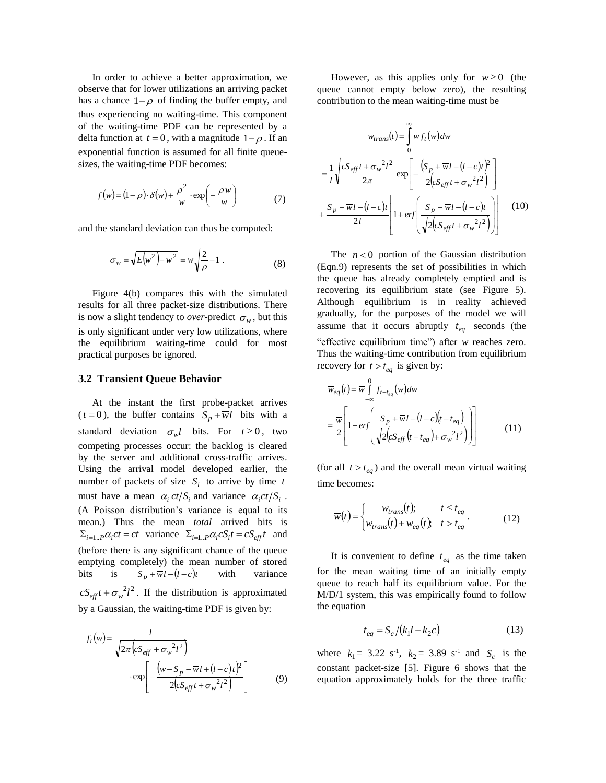In order to achieve a better approximation, we observe that for lower utilizations an arriving packet has a chance  $1-\rho$  of finding the buffer empty, and thus experiencing no waiting-time. This component of the waiting-time PDF can be represented by a delta function at  $t = 0$ , with a magnitude  $1-\rho$ . If an exponential function is assumed for all finite queuesizes, the waiting-time PDF becomes:

$$
f(w) = (1 - \rho) \cdot \delta(w) + \frac{\rho^2}{\overline{w}} \cdot \exp\left(-\frac{\rho w}{\overline{w}}\right) \tag{7}
$$

and the standard deviation can thus be computed:

$$
\sigma_w = \sqrt{E(w^2) - \overline{w}^2} = \overline{w} \sqrt{\frac{2}{\rho} - 1} . \tag{8}
$$

Figure 4(b) compares this with the simulated results for all three packet-size distributions. There is now a slight tendency to *over*-predict  $\sigma_w$ , but this is only significant under very low utilizations, where the equilibrium waiting-time could for most practical purposes be ignored.

### **3.2 Transient Queue Behavior**

At the instant the first probe-packet arrives  $(t = 0)$ , the buffer contains  $S_p + \overline{w}l$  bits with a standard deviation  $\sigma_w l$  bits. For  $t \ge 0$ , two competing processes occur: the backlog is cleared by the server and additional cross-traffic arrives. Using the arrival model developed earlier, the number of packets of size  $S_i$  to arrive by time *t* must have a mean  $\alpha_i ct/S_i$  and variance  $\alpha_i ct/S_i$ . (A Poisson distribution's variance is equal to its mean.) Thus the mean *total* arrived bits is  $\sum_{i=1..P} \alpha_i ct = ct$  variance  $\sum_{i=1..P} \alpha_i c S_i t = c S_{eff} t$  and (before there is any significant chance of the queue emptying completely) the mean number of stored bits is  $S_p + \overline{w}l - (l - c)t$  with variance  $cS_{\text{eff}}t + \sigma_w^2 l^2$ . If the distribution is approximated by a Gaussian, the waiting-time PDF is given by:

$$
f_t(w) = \frac{l}{\sqrt{2\pi (cS_{eff} + \sigma_w^2 l^2)}}
$$

$$
\cdot \exp\left[-\frac{(w - S_p - \overline{w}l + (l - c)t)^2}{2(cS_{eff}t + \sigma_w^2 l^2)}\right]
$$
(9)

However, as this applies only for  $w \ge 0$  (the queue cannot empty below zero), the resulting contribution to the mean waiting-time must be

$$
\overline{w}_{trans}(t) = \int_{0}^{\infty} w f_t(w) dw
$$

$$
= \frac{1}{l} \sqrt{\frac{cS_{eff}t + \sigma_w^2 l^2}{2\pi}} \exp\left[-\frac{(S_p + \overline{w}l - (l - c)t)^2}{2(cS_{eff}t + \sigma_w^2 l^2)}\right]
$$

$$
+ \frac{S_p + \overline{w}l - (l - c)t}{2l} \left[1 + erf\left(\frac{S_p + \overline{w}l - (l - c)t}{\sqrt{2(cS_{eff}t + \sigma_w^2 l^2)}}\right)\right]
$$
(10)

The  $n < 0$  portion of the Gaussian distribution (Eqn.9) represents the set of possibilities in which the queue has already completely emptied and is recovering its equilibrium state (see Figure 5). Although equilibrium is in reality achieved gradually, for the purposes of the model we will assume that it occurs abruptly  $t_{eq}$  seconds (the "effective equilibrium time") after *w* reaches zero. Thus the waiting-time contribution from equilibrium recovery for  $t > t_{eq}$  is given by:

$$
\overline{w}_{eq}(t) = \overline{w} \int_{-\infty}^{0} f_{t-t_{eq}}(w) dw
$$

$$
= \overline{\frac{w}{2}} \left[ 1 - erf \left( \frac{S_p + \overline{w}l - (l - c)(t - t_{eq})}{\sqrt{2(cS_{eff}(t - t_{eq}) + \sigma_w^2 l^2)}} \right) \right]
$$
(11)

(for all  $t > t_{eq}$ ) and the overall mean virtual waiting time becomes:

$$
\overline{w}(t) = \begin{cases}\n\overline{w}_{trans}(t); & t \le t_{eq} \\
\overline{w}_{trans}(t) + \overline{w}_{eq}(t); & t > t_{eq}\n\end{cases}.
$$
\n(12)

It is convenient to define  $t_{eq}$  as the time taken for the mean waiting time of an initially empty queue to reach half its equilibrium value. For the M/D/1 system, this was empirically found to follow the equation

$$
t_{eq} = S_c / (k_1 l - k_2 c)
$$
 (13)

where  $k_1 = 3.22 \text{ s}^{-1}$ ,  $k_2 = 3.89 \text{ s}^{-1}$  and  $S_c$  is the constant packet-size [5]. Figure 6 shows that the equation approximately holds for the three traffic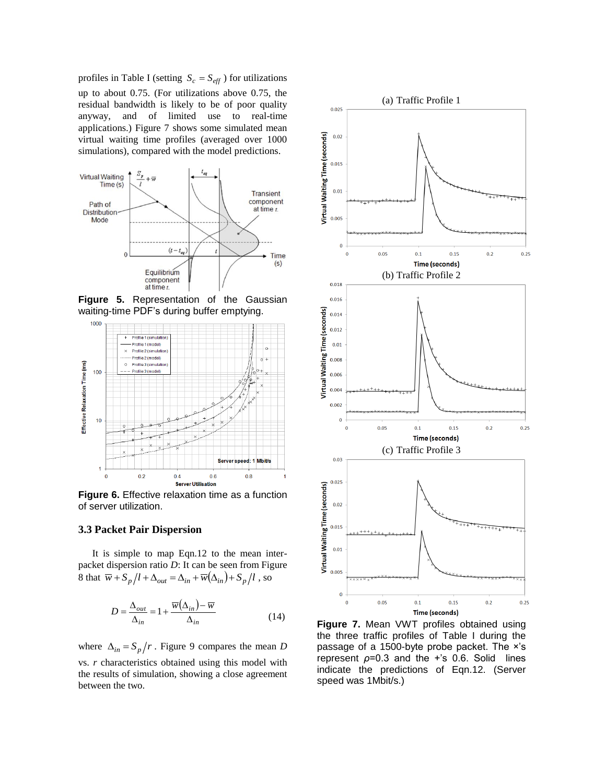profiles in Table I (setting  $S_c = S_{\text{eff}}$ ) for utilizations up to about 0.75. (For utilizations above 0.75, the residual bandwidth is likely to be of poor quality anyway, and of limited use to real-time applications.) Figure 7 shows some simulated mean virtual waiting time profiles (averaged over 1000 simulations), compared with the model predictions.



**Figure 5.** Representation of the Gaussian waiting-time PDF's during buffer emptying.



**Figure 6.** Effective relaxation time as a function of server utilization.

## **3.3 Packet Pair Dispersion**

It is simple to map Eqn.12 to the mean interpacket dispersion ratio *D*: It can be seen from Figure 8 that  $\overline{w} + S_p/l + \Delta_{out} = \Delta_{in} + \overline{w}(\Delta_{in}) + S_p/l$ , so

$$
D = \frac{\Delta_{out}}{\Delta_{in}} = 1 + \frac{\overline{w}(\Delta_{in}) - \overline{w}}{\Delta_{in}}
$$
(14)

where  $\Delta_{in} = S_p / r$ . Figure 9 compares the mean *D* vs. *r* characteristics obtained using this model with the results of simulation, showing a close agreement between the two.



**Figure 7.** Mean VWT profiles obtained using the three traffic profiles of Table I during the passage of a 1500-byte probe packet. The ×'s represent *ρ*=0.3 and the +'s 0.6. Solid lines indicate the predictions of Eqn.12. (Server speed was 1Mbit/s.)